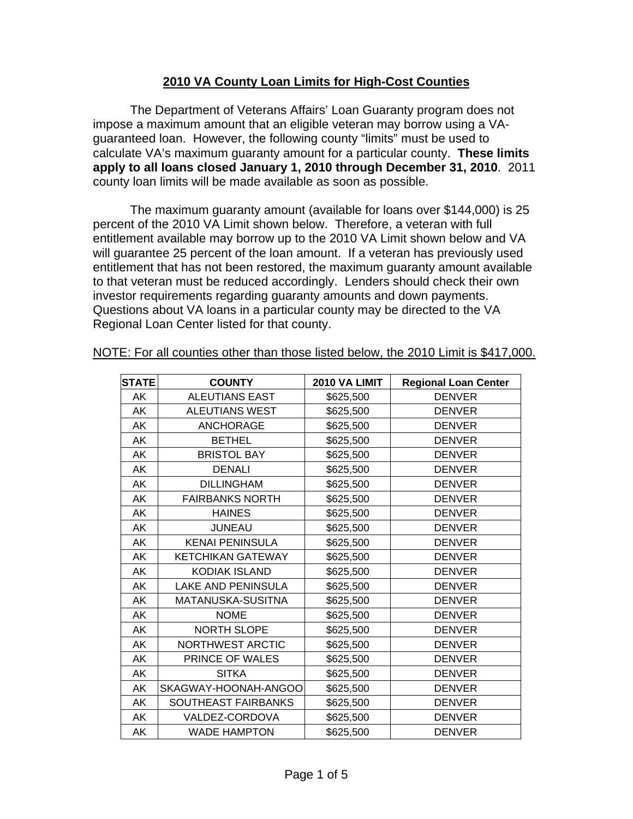## **2010 VA County Loan Limits for High-Cost Counties**

The Department of Veterans Affairs' Loan Guaranty program does not impose a maximum amount that an eligible veteran may borrow using a VAguaranteed loan. However, the following county "limits" must be used to calculate VA's maximum guaranty amount for a particular county. **These limits apply to all loans closed January 1, 2010 through December 31, 2010**. 2011 county loan limits will be made available as soon as possible.

The maximum guaranty amount (available for loans over \$144,000) is 25 percent of the 2010 VA Limit shown below. Therefore, a veteran with full entitlement available may borrow up to the 2010 VA Limit shown below and VA will guarantee 25 percent of the loan amount. If a veteran has previously used entitlement that has not been restored, the maximum guaranty amount available to that veteran must be reduced accordingly. Lenders should check their own investor requirements regarding guaranty amounts and down payments. Questions about VA loans in a particular county may be directed to the VA Regional Loan Center listed for that county.

| <b>STATE</b> | <b>COUNTY</b>             | 2010 VA LIMIT | <b>Regional Loan Center</b> |
|--------------|---------------------------|---------------|-----------------------------|
| AK           | <b>ALEUTIANS EAST</b>     | \$625,500     | <b>DENVER</b>               |
| AK           | <b>ALEUTIANS WEST</b>     | \$625,500     | <b>DENVER</b>               |
| AK           | <b>ANCHORAGE</b>          | \$625,500     | <b>DENVER</b>               |
| AK           | <b>BETHEL</b>             | \$625,500     | <b>DENVER</b>               |
| AK           | <b>BRISTOL BAY</b>        | \$625,500     | <b>DENVER</b>               |
| AK           | <b>DENALI</b>             | \$625,500     | <b>DENVER</b>               |
| AK           | <b>DILLINGHAM</b>         | \$625,500     | <b>DENVER</b>               |
| AK           | <b>FAIRBANKS NORTH</b>    | \$625,500     | <b>DENVER</b>               |
| AK           | <b>HAINES</b>             | \$625,500     | <b>DENVER</b>               |
| AK           | <b>JUNEAU</b>             | \$625,500     | <b>DENVER</b>               |
| AK           | <b>KENAI PENINSULA</b>    | \$625,500     | <b>DENVER</b>               |
| AK           | <b>KETCHIKAN GATEWAY</b>  | \$625,500     | <b>DENVER</b>               |
| <b>AK</b>    | <b>KODIAK ISLAND</b>      | \$625,500     | <b>DENVER</b>               |
| AK           | <b>LAKE AND PENINSULA</b> | \$625,500     | <b>DENVER</b>               |
| AK           | MATANUSKA-SUSITNA         | \$625,500     | <b>DENVER</b>               |
| AK           | <b>NOME</b>               | \$625,500     | <b>DENVER</b>               |
| AK           | <b>NORTH SLOPE</b>        | \$625,500     | <b>DENVER</b>               |
| AK           | NORTHWEST ARCTIC          | \$625,500     | <b>DENVER</b>               |
| AK           | PRINCE OF WALES           | \$625,500     | <b>DENVER</b>               |
| AK           | <b>SITKA</b>              | \$625,500     | <b>DENVER</b>               |
| AK           | SKAGWAY-HOONAH-ANGOO      | \$625,500     | <b>DENVER</b>               |
| AK           | SOUTHEAST FAIRBANKS       | \$625,500     | <b>DENVER</b>               |
| AK           | VALDEZ-CORDOVA            | \$625,500     | <b>DENVER</b>               |
| AK           | <b>WADE HAMPTON</b>       | \$625,500     | <b>DENVER</b>               |

NOTE: For all counties other than those listed below, the 2010 Limit is \$417,000.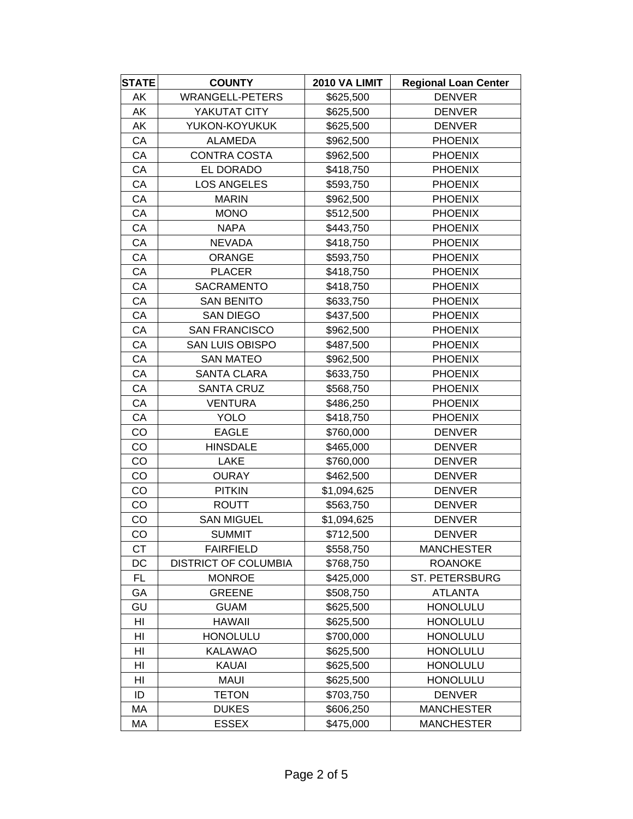| <b>STATE</b>   | <b>COUNTY</b>               | 2010 VA LIMIT | <b>Regional Loan Center</b> |
|----------------|-----------------------------|---------------|-----------------------------|
| AK             | <b>WRANGELL-PETERS</b>      | \$625,500     | <b>DENVER</b>               |
| AK             | YAKUTAT CITY                | \$625,500     | <b>DENVER</b>               |
| AK             | YUKON-KOYUKUK               | \$625,500     | <b>DENVER</b>               |
| CA             | <b>ALAMEDA</b>              | \$962,500     | <b>PHOENIX</b>              |
| СA             | CONTRA COSTA                | \$962,500     | <b>PHOENIX</b>              |
| CA             | EL DORADO                   | \$418,750     | <b>PHOENIX</b>              |
| CA             | <b>LOS ANGELES</b>          | \$593,750     | <b>PHOENIX</b>              |
| СA             | <b>MARIN</b>                | \$962,500     | <b>PHOENIX</b>              |
| CA             | <b>MONO</b>                 | \$512,500     | <b>PHOENIX</b>              |
| CA             | <b>NAPA</b>                 | \$443,750     | <b>PHOENIX</b>              |
| СA             | <b>NEVADA</b>               | \$418,750     | <b>PHOENIX</b>              |
| CA             | <b>ORANGE</b>               | \$593,750     | <b>PHOENIX</b>              |
| СA             | <b>PLACER</b>               | \$418,750     | <b>PHOENIX</b>              |
| CA             | <b>SACRAMENTO</b>           | \$418,750     | <b>PHOENIX</b>              |
| CA             | <b>SAN BENITO</b>           | \$633,750     | <b>PHOENIX</b>              |
| CA             | <b>SAN DIEGO</b>            | \$437,500     | <b>PHOENIX</b>              |
| CA             | <b>SAN FRANCISCO</b>        | \$962,500     | <b>PHOENIX</b>              |
| СA             | <b>SAN LUIS OBISPO</b>      | \$487,500     | <b>PHOENIX</b>              |
| CA             | <b>SAN MATEO</b>            | \$962,500     | <b>PHOENIX</b>              |
| CA             | <b>SANTA CLARA</b>          | \$633,750     | <b>PHOENIX</b>              |
| CA             | <b>SANTA CRUZ</b>           | \$568,750     | <b>PHOENIX</b>              |
| CA             | <b>VENTURA</b>              | \$486,250     | <b>PHOENIX</b>              |
| СA             | <b>YOLO</b>                 | \$418,750     | <b>PHOENIX</b>              |
| CO             | <b>EAGLE</b>                | \$760,000     | <b>DENVER</b>               |
| CO             | <b>HINSDALE</b>             | \$465,000     | <b>DENVER</b>               |
| CO             | LAKE                        | \$760,000     | <b>DENVER</b>               |
| CO             | <b>OURAY</b>                | \$462,500     | <b>DENVER</b>               |
| CO             | <b>PITKIN</b>               | \$1,094,625   | <b>DENVER</b>               |
| CO             | <b>ROUTT</b>                | \$563,750     | <b>DENVER</b>               |
| CO             | <b>SAN MIGUEL</b>           | \$1,094,625   | <b>DENVER</b>               |
| CO             | <b>SUMMIT</b>               | \$712,500     | <b>DENVER</b>               |
| <b>CT</b>      | <b>FAIRFIELD</b>            | \$558,750     | <b>MANCHESTER</b>           |
| DC             | <b>DISTRICT OF COLUMBIA</b> | \$768,750     | <b>ROANOKE</b>              |
| <b>FL</b>      | <b>MONROE</b>               | \$425,000     | ST. PETERSBURG              |
| GA             | <b>GREENE</b>               | \$508,750     | <b>ATLANTA</b>              |
| GU             | <b>GUAM</b>                 | \$625,500     | <b>HONOLULU</b>             |
| HI             | <b>HAWAII</b>               | \$625,500     | <b>HONOLULU</b>             |
| HI             | <b>HONOLULU</b>             | \$700,000     | <b>HONOLULU</b>             |
| HI             | <b>KALAWAO</b>              | \$625,500     | <b>HONOLULU</b>             |
| HI             | <b>KAUAI</b>                | \$625,500     | <b>HONOLULU</b>             |
| H <sub>l</sub> | <b>MAUI</b>                 | \$625,500     | <b>HONOLULU</b>             |
| ID             | TETON                       | \$703,750     | <b>DENVER</b>               |
| МA             | <b>DUKES</b>                | \$606,250     | <b>MANCHESTER</b>           |
| MA             | <b>ESSEX</b>                | \$475,000     | <b>MANCHESTER</b>           |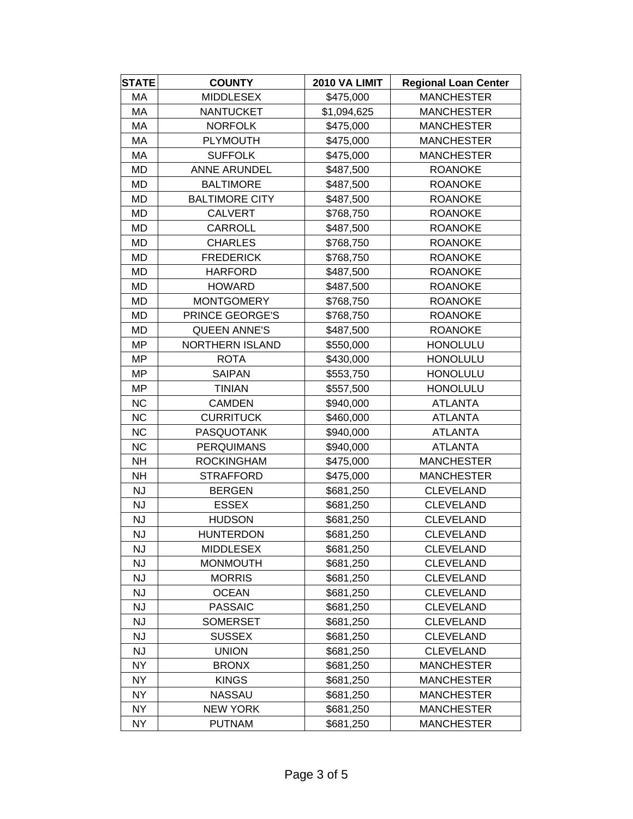| <b>STATE</b> | <b>COUNTY</b>          | 2010 VA LIMIT | <b>Regional Loan Center</b> |
|--------------|------------------------|---------------|-----------------------------|
| МA           | <b>MIDDLESEX</b>       | \$475,000     | <b>MANCHESTER</b>           |
| MA           | <b>NANTUCKET</b>       | \$1,094,625   | <b>MANCHESTER</b>           |
| МA           | <b>NORFOLK</b>         | \$475,000     | <b>MANCHESTER</b>           |
| MA           | <b>PLYMOUTH</b>        | \$475,000     | <b>MANCHESTER</b>           |
| МA           | <b>SUFFOLK</b>         | \$475,000     | <b>MANCHESTER</b>           |
| <b>MD</b>    | <b>ANNE ARUNDEL</b>    | \$487,500     | <b>ROANOKE</b>              |
| <b>MD</b>    | <b>BALTIMORE</b>       | \$487,500     | <b>ROANOKE</b>              |
| MD           | <b>BALTIMORE CITY</b>  | \$487,500     | <b>ROANOKE</b>              |
| <b>MD</b>    | <b>CALVERT</b>         | \$768,750     | <b>ROANOKE</b>              |
| MD           | <b>CARROLL</b>         | \$487,500     | <b>ROANOKE</b>              |
| MD           | <b>CHARLES</b>         | \$768,750     | <b>ROANOKE</b>              |
| MD           | <b>FREDERICK</b>       | \$768,750     | <b>ROANOKE</b>              |
| MD           | <b>HARFORD</b>         | \$487,500     | <b>ROANOKE</b>              |
| MD           | <b>HOWARD</b>          | \$487,500     | <b>ROANOKE</b>              |
| MD           | <b>MONTGOMERY</b>      | \$768,750     | <b>ROANOKE</b>              |
| MD           | PRINCE GEORGE'S        | \$768,750     | <b>ROANOKE</b>              |
| MD           | <b>QUEEN ANNE'S</b>    | \$487,500     | <b>ROANOKE</b>              |
| <b>MP</b>    | <b>NORTHERN ISLAND</b> | \$550,000     | <b>HONOLULU</b>             |
| MP           | <b>ROTA</b>            | \$430,000     | <b>HONOLULU</b>             |
| <b>MP</b>    | <b>SAIPAN</b>          | \$553,750     | <b>HONOLULU</b>             |
| <b>MP</b>    | <b>TINIAN</b>          | \$557,500     | <b>HONOLULU</b>             |
| <b>NC</b>    | <b>CAMDEN</b>          | \$940,000     | <b>ATLANTA</b>              |
| <b>NC</b>    | <b>CURRITUCK</b>       | \$460,000     | <b>ATLANTA</b>              |
| <b>NC</b>    | <b>PASQUOTANK</b>      | \$940,000     | <b>ATLANTA</b>              |
| <b>NC</b>    | <b>PERQUIMANS</b>      | \$940,000     | <b>ATLANTA</b>              |
| <b>NH</b>    | <b>ROCKINGHAM</b>      | \$475,000     | <b>MANCHESTER</b>           |
| <b>NH</b>    | <b>STRAFFORD</b>       | \$475,000     | <b>MANCHESTER</b>           |
| <b>NJ</b>    | <b>BERGEN</b>          | \$681,250     | <b>CLEVELAND</b>            |
| <b>NJ</b>    | <b>ESSEX</b>           | \$681,250     | <b>CLEVELAND</b>            |
| <b>NJ</b>    | <b>HUDSON</b>          | \$681,250     | <b>CLEVELAND</b>            |
| NJ           | <b>HUNTERDON</b>       | \$681,250     | CLEVELAND                   |
| <b>NJ</b>    | <b>MIDDLESEX</b>       | \$681,250     | <b>CLEVELAND</b>            |
| <b>NJ</b>    | <b>MONMOUTH</b>        | \$681,250     | <b>CLEVELAND</b>            |
| <b>NJ</b>    | <b>MORRIS</b>          | \$681,250     | <b>CLEVELAND</b>            |
| <b>NJ</b>    | <b>OCEAN</b>           | \$681,250     | <b>CLEVELAND</b>            |
| <b>NJ</b>    | <b>PASSAIC</b>         | \$681,250     | <b>CLEVELAND</b>            |
| <b>NJ</b>    | <b>SOMERSET</b>        | \$681,250     | <b>CLEVELAND</b>            |
| <b>NJ</b>    | <b>SUSSEX</b>          | \$681,250     | <b>CLEVELAND</b>            |
| <b>NJ</b>    | <b>UNION</b>           | \$681,250     | <b>CLEVELAND</b>            |
| <b>NY</b>    | <b>BRONX</b>           | \$681,250     | <b>MANCHESTER</b>           |
| <b>NY</b>    | <b>KINGS</b>           | \$681,250     | <b>MANCHESTER</b>           |
| <b>NY</b>    | <b>NASSAU</b>          | \$681,250     | MANCHESTER                  |
| <b>NY</b>    | <b>NEW YORK</b>        | \$681,250     | <b>MANCHESTER</b>           |
| <b>NY</b>    | <b>PUTNAM</b>          | \$681,250     | <b>MANCHESTER</b>           |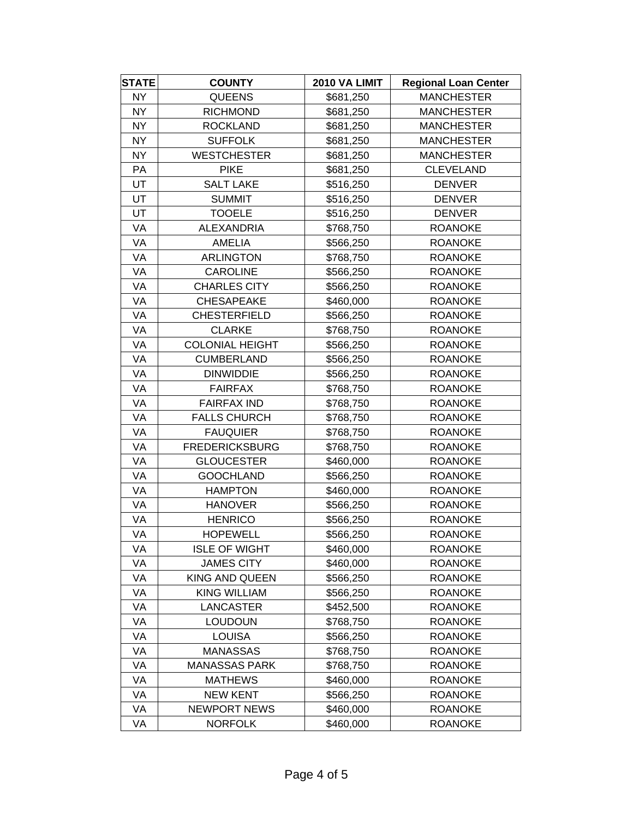| <b>STATE</b> | <b>COUNTY</b>          | 2010 VA LIMIT | <b>Regional Loan Center</b> |
|--------------|------------------------|---------------|-----------------------------|
| NY           | <b>QUEENS</b>          | \$681,250     | <b>MANCHESTER</b>           |
| NY.          | <b>RICHMOND</b>        | \$681,250     | <b>MANCHESTER</b>           |
| <b>NY</b>    | <b>ROCKLAND</b>        | \$681,250     | <b>MANCHESTER</b>           |
| <b>NY</b>    | <b>SUFFOLK</b>         | \$681,250     | <b>MANCHESTER</b>           |
| <b>NY</b>    | <b>WESTCHESTER</b>     | \$681,250     | <b>MANCHESTER</b>           |
| PA           | <b>PIKE</b>            | \$681,250     | <b>CLEVELAND</b>            |
| UT           | <b>SALT LAKE</b>       | \$516,250     | <b>DENVER</b>               |
| UT           | <b>SUMMIT</b>          | \$516,250     | <b>DENVER</b>               |
| UT           | <b>TOOELE</b>          | \$516,250     | <b>DENVER</b>               |
| VA           | <b>ALEXANDRIA</b>      | \$768,750     | <b>ROANOKE</b>              |
| VA           | <b>AMELIA</b>          | \$566,250     | <b>ROANOKE</b>              |
| VA           | <b>ARLINGTON</b>       | \$768,750     | <b>ROANOKE</b>              |
| VA           | <b>CAROLINE</b>        | \$566,250     | <b>ROANOKE</b>              |
| VA           | <b>CHARLES CITY</b>    | \$566,250     | <b>ROANOKE</b>              |
| VA           | <b>CHESAPEAKE</b>      | \$460,000     | <b>ROANOKE</b>              |
| VA           | <b>CHESTERFIELD</b>    | \$566,250     | <b>ROANOKE</b>              |
| VA           | <b>CLARKE</b>          | \$768,750     | <b>ROANOKE</b>              |
| VA           | <b>COLONIAL HEIGHT</b> | \$566,250     | <b>ROANOKE</b>              |
| VA           | <b>CUMBERLAND</b>      | \$566,250     | <b>ROANOKE</b>              |
| VA           | <b>DINWIDDIE</b>       | \$566,250     | <b>ROANOKE</b>              |
| VA           | <b>FAIRFAX</b>         | \$768,750     | <b>ROANOKE</b>              |
| VA           | <b>FAIRFAX IND</b>     | \$768,750     | <b>ROANOKE</b>              |
| VA           | <b>FALLS CHURCH</b>    | \$768,750     | <b>ROANOKE</b>              |
| VA           | <b>FAUQUIER</b>        | \$768,750     | <b>ROANOKE</b>              |
| VA           | <b>FREDERICKSBURG</b>  | \$768,750     | <b>ROANOKE</b>              |
| VA           | <b>GLOUCESTER</b>      | \$460,000     | <b>ROANOKE</b>              |
| VA           | <b>GOOCHLAND</b>       | \$566,250     | <b>ROANOKE</b>              |
| VA           | <b>HAMPTON</b>         | \$460,000     | <b>ROANOKE</b>              |
| VA           | <b>HANOVER</b>         | \$566,250     | <b>ROANOKE</b>              |
| VA           | <b>HENRICO</b>         | \$566,250     | <b>ROANOKE</b>              |
| VA           | <b>HOPEWELL</b>        | \$566,250     | <b>ROANOKE</b>              |
| VA           | <b>ISLE OF WIGHT</b>   | \$460,000     | <b>ROANOKE</b>              |
| VA           | <b>JAMES CITY</b>      | \$460,000     | <b>ROANOKE</b>              |
| VA           | KING AND QUEEN         | \$566,250     | <b>ROANOKE</b>              |
| VA           | <b>KING WILLIAM</b>    | \$566,250     | <b>ROANOKE</b>              |
| VA           | <b>LANCASTER</b>       | \$452,500     | <b>ROANOKE</b>              |
| VA           | <b>LOUDOUN</b>         | \$768,750     | <b>ROANOKE</b>              |
| VA           | <b>LOUISA</b>          | \$566,250     | <b>ROANOKE</b>              |
| VA           | <b>MANASSAS</b>        | \$768,750     | <b>ROANOKE</b>              |
| VA           | <b>MANASSAS PARK</b>   | \$768,750     | <b>ROANOKE</b>              |
| VA           | <b>MATHEWS</b>         | \$460,000     | <b>ROANOKE</b>              |
| VA           | <b>NEW KENT</b>        | \$566,250     | <b>ROANOKE</b>              |
| VA           | <b>NEWPORT NEWS</b>    | \$460,000     | <b>ROANOKE</b>              |
| VA           | <b>NORFOLK</b>         | \$460,000     | <b>ROANOKE</b>              |